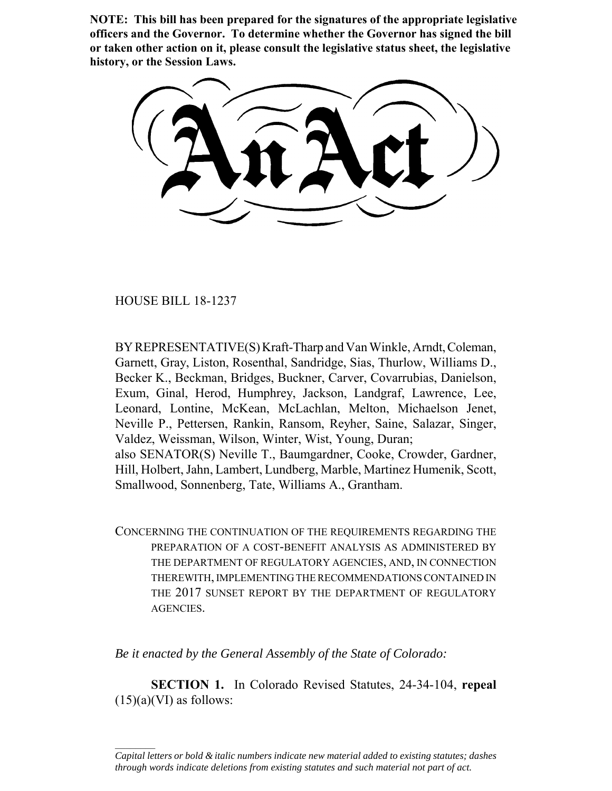**NOTE: This bill has been prepared for the signatures of the appropriate legislative officers and the Governor. To determine whether the Governor has signed the bill or taken other action on it, please consult the legislative status sheet, the legislative history, or the Session Laws.**

HOUSE BILL 18-1237

 $\frac{1}{2}$ 

BY REPRESENTATIVE(S) Kraft-Tharp and Van Winkle, Arndt, Coleman, Garnett, Gray, Liston, Rosenthal, Sandridge, Sias, Thurlow, Williams D., Becker K., Beckman, Bridges, Buckner, Carver, Covarrubias, Danielson, Exum, Ginal, Herod, Humphrey, Jackson, Landgraf, Lawrence, Lee, Leonard, Lontine, McKean, McLachlan, Melton, Michaelson Jenet, Neville P., Pettersen, Rankin, Ransom, Reyher, Saine, Salazar, Singer, Valdez, Weissman, Wilson, Winter, Wist, Young, Duran; also SENATOR(S) Neville T., Baumgardner, Cooke, Crowder, Gardner, Hill, Holbert, Jahn, Lambert, Lundberg, Marble, Martinez Humenik, Scott, Smallwood, Sonnenberg, Tate, Williams A., Grantham.

CONCERNING THE CONTINUATION OF THE REQUIREMENTS REGARDING THE PREPARATION OF A COST-BENEFIT ANALYSIS AS ADMINISTERED BY THE DEPARTMENT OF REGULATORY AGENCIES, AND, IN CONNECTION THEREWITH, IMPLEMENTING THE RECOMMENDATIONS CONTAINED IN THE 2017 SUNSET REPORT BY THE DEPARTMENT OF REGULATORY AGENCIES.

*Be it enacted by the General Assembly of the State of Colorado:*

**SECTION 1.** In Colorado Revised Statutes, 24-34-104, **repeal**  $(15)(a)(VI)$  as follows:

*Capital letters or bold & italic numbers indicate new material added to existing statutes; dashes through words indicate deletions from existing statutes and such material not part of act.*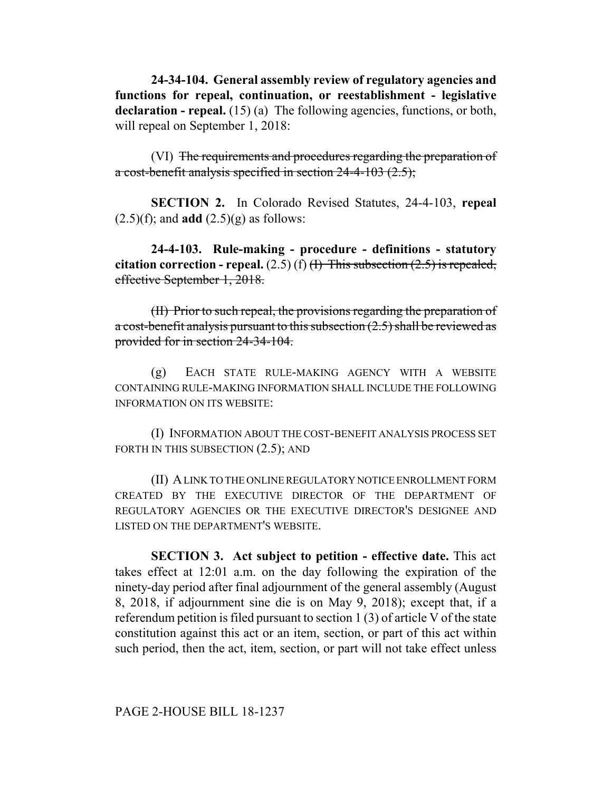**24-34-104. General assembly review of regulatory agencies and functions for repeal, continuation, or reestablishment - legislative** declaration - repeal. (15) (a) The following agencies, functions, or both, will repeal on September 1, 2018:

(VI) The requirements and procedures regarding the preparation of a cost-benefit analysis specified in section 24-4-103 (2.5);

**SECTION 2.** In Colorado Revised Statutes, 24-4-103, **repeal** (2.5)(f); and **add** (2.5)(g) as follows:

**24-4-103. Rule-making - procedure - definitions - statutory citation correction - repeal.**  $(2.5)$  (f)  $\overline{H}$  This subsection  $(2.5)$  is repealed, effective September 1, 2018.

(II) Prior to such repeal, the provisions regarding the preparation of a cost-benefit analysis pursuant to this subsection (2.5) shall be reviewed as provided for in section 24-34-104.

(g) EACH STATE RULE-MAKING AGENCY WITH A WEBSITE CONTAINING RULE-MAKING INFORMATION SHALL INCLUDE THE FOLLOWING INFORMATION ON ITS WEBSITE:

(I) INFORMATION ABOUT THE COST-BENEFIT ANALYSIS PROCESS SET FORTH IN THIS SUBSECTION  $(2.5)$ ; AND

(II) A LINK TO THE ONLINE REGULATORY NOTICE ENROLLMENT FORM CREATED BY THE EXECUTIVE DIRECTOR OF THE DEPARTMENT OF REGULATORY AGENCIES OR THE EXECUTIVE DIRECTOR'S DESIGNEE AND LISTED ON THE DEPARTMENT'S WEBSITE.

**SECTION 3. Act subject to petition - effective date.** This act takes effect at 12:01 a.m. on the day following the expiration of the ninety-day period after final adjournment of the general assembly (August 8, 2018, if adjournment sine die is on May 9, 2018); except that, if a referendum petition is filed pursuant to section 1 (3) of article V of the state constitution against this act or an item, section, or part of this act within such period, then the act, item, section, or part will not take effect unless